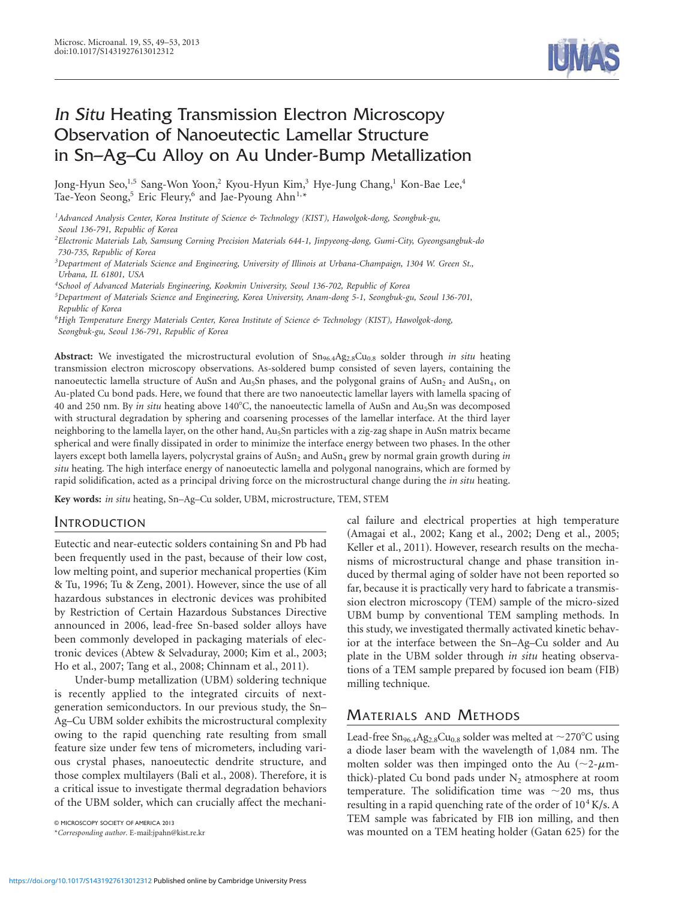

# In Situ Heating Transmission Electron Microscopy Observation of Nanoeutectic Lamellar Structure in Sn–Ag–Cu Alloy on Au Under-Bump Metallization

Jong-Hyun Seo,<sup>1,5</sup> Sang-Won Yoon,<sup>2</sup> Kyou-Hyun Kim,<sup>3</sup> Hye-Jung Chang,<sup>1</sup> Kon-Bae Lee,<sup>4</sup> Tae-Yeon Seong,<sup>5</sup> Eric Fleury,<sup>6</sup> and Jae-Pyoung Ahn<sup>1,\*</sup>

*1 Advanced Analysis Center, Korea Institute of Science & Technology (KIST), Hawolgok-dong, Seongbuk-gu, Seoul 136-791, Republic of Korea*

*2 Electronic Materials Lab, Samsung Corning Precision Materials 644-1, Jinpyeong-dong, Gumi-City, Gyeongsangbuk-do 730-735, Republic of Korea*

*3 Department of Materials Science and Engineering, University of Illinois at Urbana-Champaign, 1304 W. Green St., Urbana, IL 61801, USA*

*4 School of Advanced Materials Engineering, Kookmin University, Seoul 136-702, Republic of Korea*

*5 Department of Materials Science and Engineering, Korea University, Anam-dong 5-1, Seongbuk-gu, Seoul 136-701, Republic of Korea*

*6 High Temperature Energy Materials Center, Korea Institute of Science & Technology (KIST), Hawolgok-dong, Seongbuk-gu, Seoul 136-791, Republic of Korea*

Abstract: We investigated the microstructural evolution of Sn<sub>96.4</sub>Ag<sub>2.8</sub>Cu<sub>0.8</sub> solder through *in situ* heating transmission electron microscopy observations. As-soldered bump consisted of seven layers, containing the nanoeutectic lamella structure of AuSn and Au<sub>5</sub>Sn phases, and the polygonal grains of AuSn<sub>2</sub> and AuSn<sub>4</sub>, on Au-plated Cu bond pads. Here, we found that there are two nanoeutectic lamellar layers with lamella spacing of 40 and 250 nm. By *in situ* heating above 140°C, the nanoeutectic lamella of AuSn and Au<sub>5</sub>Sn was decomposed with structural degradation by sphering and coarsening processes of the lamellar interface. At the third layer neighboring to the lamella layer, on the other hand, Au5Sn particles with a zig-zag shape in AuSn matrix became spherical and were finally dissipated in order to minimize the interface energy between two phases. In the other layers except both lamella layers, polycrystal grains of AuSn<sub>2</sub> and AuSn<sub>4</sub> grew by normal grain growth during *in situ* heating. The high interface energy of nanoeutectic lamella and polygonal nanograins, which are formed by rapid solidification, acted as a principal driving force on the microstructural change during the *in situ* heating.

**Key words:** *in situ* heating, Sn–Ag–Cu solder, UBM, microstructure, TEM, STEM

#### INTRODUCTION

Eutectic and near-eutectic solders containing Sn and Pb had been frequently used in the past, because of their low cost, low melting point, and superior mechanical properties (Kim & Tu, 1996; Tu & Zeng, 2001). However, since the use of all hazardous substances in electronic devices was prohibited by Restriction of Certain Hazardous Substances Directive announced in 2006, lead-free Sn-based solder alloys have been commonly developed in packaging materials of electronic devices (Abtew & Selvaduray, 2000; Kim et al., 2003; Ho et al., 2007; Tang et al., 2008; Chinnam et al., 2011).

Under-bump metallization (UBM) soldering technique is recently applied to the integrated circuits of nextgeneration semiconductors. In our previous study, the Sn– Ag–Cu UBM solder exhibits the microstructural complexity owing to the rapid quenching rate resulting from small feature size under few tens of micrometers, including various crystal phases, nanoeutectic dendrite structure, and those complex multilayers (Bali et al., 2008). Therefore, it is a critical issue to investigate thermal degradation behaviors of the UBM solder, which can crucially affect the mechani-

\**Corresponding author*. E-mail:jpahn@kist.re.kr

cal failure and electrical properties at high temperature (Amagai et al., 2002; Kang et al., 2002; Deng et al., 2005; Keller et al., 2011). However, research results on the mechanisms of microstructural change and phase transition induced by thermal aging of solder have not been reported so far, because it is practically very hard to fabricate a transmission electron microscopy (TEM) sample of the micro-sized UBM bump by conventional TEM sampling methods. In this study, we investigated thermally activated kinetic behavior at the interface between the Sn–Ag–Cu solder and Au plate in the UBM solder through *in situ* heating observations of a TEM sample prepared by focused ion beam (FIB) milling technique.

## MATERIALS AND METHODS

Lead-free  $\text{Sn}_{96.4} \text{Ag}_{2.8} \text{Cu}_{0.8}$  solder was melted at  $\sim$ 270°C using a diode laser beam with the wavelength of 1,084 nm. The molten solder was then impinged onto the Au  $(\sim 2$ - $\mu$ mthick)-plated Cu bond pads under  $N_2$  atmosphere at room temperature. The solidification time was  $\sim$ 20 ms, thus resulting in a rapid quenching rate of the order of  $10^4$  K/s. A TEM sample was fabricated by FIB ion milling, and then **EXALUAT SAILT AND MOUNT CONSIDER A TEM SAILT AND HOLDER FOR THE CONSIDER CONSIDERATION** MAS TRUIT ACT THE CONTROLLER \*Corresponding author. E-mail:jpahn@kist.re.kr **was mounted on a TEM heating holder** (Gatan 625) for the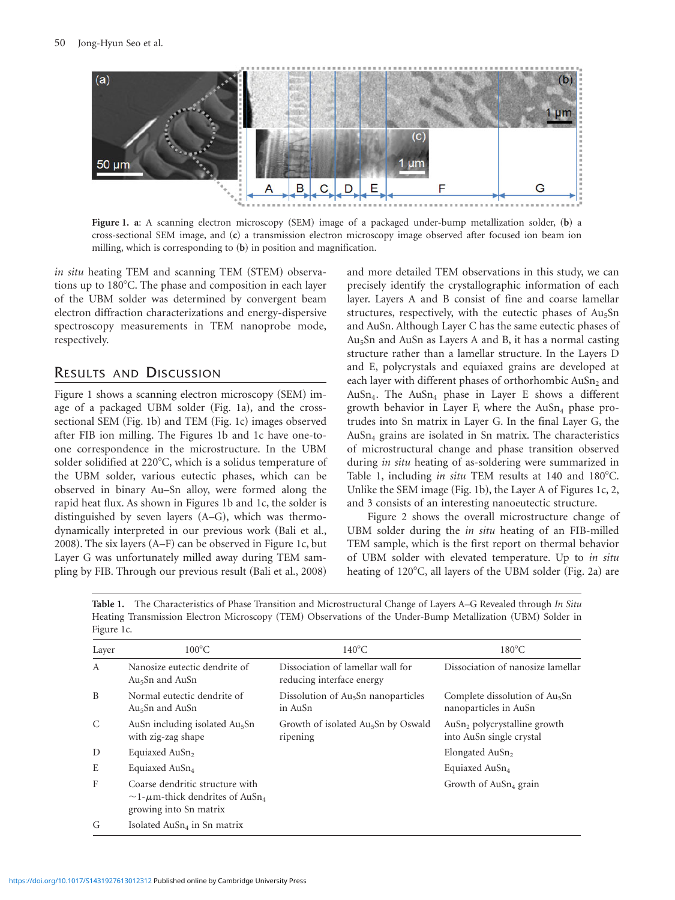

**Figure 1. a**: A scanning electron microscopy (SEM) image of a packaged under-bump metallization solder, (b) a cross-sectional SEM image, and (c) a transmission electron microscopy image observed after focused ion beam ion milling, which is corresponding to (b) in position and magnification.

*in situ* heating TEM and scanning TEM (STEM) observations up to 180°C. The phase and composition in each layer of the UBM solder was determined by convergent beam electron diffraction characterizations and energy-dispersive spectroscopy measurements in TEM nanoprobe mode, respectively.

## RESULTS AND DISCUSSION

Figure 1 shows a scanning electron microscopy (SEM) image of a packaged UBM solder (Fig. 1a), and the crosssectional SEM (Fig. 1b) and TEM (Fig. 1c) images observed after FIB ion milling. The Figures 1b and 1c have one-toone correspondence in the microstructure. In the UBM solder solidified at 220°C, which is a solidus temperature of the UBM solder, various eutectic phases, which can be observed in binary Au–Sn alloy, were formed along the rapid heat flux. As shown in Figures 1b and 1c, the solder is distinguished by seven layers  $(A-G)$ , which was thermodynamically interpreted in our previous work (Bali et al., 2008). The six layers  $(A-F)$  can be observed in Figure 1c, but Layer G was unfortunately milled away during TEM sampling by FIB. Through our previous result (Bali et al., 2008)

and more detailed TEM observations in this study, we can precisely identify the crystallographic information of each layer. Layers A and B consist of fine and coarse lamellar structures, respectively, with the eutectic phases of Au<sub>5</sub>Sn and AuSn. Although Layer C has the same eutectic phases of Au5Sn and AuSn as Layers A and B, it has a normal casting structure rather than a lamellar structure. In the Layers D and E, polycrystals and equiaxed grains are developed at each layer with different phases of orthorhombic  $AuSn<sub>2</sub>$  and AuSn<sub>4</sub>. The AuSn<sub>4</sub> phase in Layer E shows a different growth behavior in Layer F, where the  $AuSn<sub>4</sub>$  phase protrudes into Sn matrix in Layer G. In the final Layer G, the  $AuSn<sub>4</sub>$  grains are isolated in Sn matrix. The characteristics of microstructural change and phase transition observed during *in situ* heating of as-soldering were summarized in Table 1, including *in situ* TEM results at 140 and 180°C. Unlike the SEM image (Fig. 1b), the Layer A of Figures 1c, 2, and 3 consists of an interesting nanoeutectic structure.

Figure 2 shows the overall microstructure change of UBM solder during the *in situ* heating of an FIB-milled TEM sample, which is the first report on thermal behavior of UBM solder with elevated temperature. Up to *in situ* heating of  $120^{\circ}$ C, all layers of the UBM solder (Fig. 2a) are

**Table 1.** The Characteristics of Phase Transition and Microstructural Change of Layers A–G Revealed through *In Situ* Heating Transmission Electron Microscopy (TEM) Observations of the Under-Bump Metallization (UBM) Solder in Figure 1c.

| Layer | $100^{\circ}$ C                                                                                                     | $140^{\circ}$ C                                                | $180^{\circ}$ C                                                      |
|-------|---------------------------------------------------------------------------------------------------------------------|----------------------------------------------------------------|----------------------------------------------------------------------|
| A     | Nanosize eutectic dendrite of<br>Au <sub>5</sub> Sn and AuSn                                                        | Dissociation of lamellar wall for<br>reducing interface energy | Dissociation of nanosize lamellar                                    |
| B     | Normal eutectic dendrite of<br>$Au5Sn$ and $AuSn$                                                                   | Dissolution of Au <sub>5</sub> Sn nanoparticles<br>in AuSn     | Complete dissolution of Au <sub>5</sub> Sn<br>nanoparticles in AuSn  |
| C     | AuSn including isolated Au <sub>5</sub> Sn<br>with zig-zag shape                                                    | Growth of isolated Au <sub>5</sub> Sn by Oswald<br>ripening    | AuSn <sub>2</sub> polycrystalline growth<br>into AuSn single crystal |
| D     | Equiaxed AuSn <sub>2</sub>                                                                                          |                                                                | Elongated AuSn <sub>2</sub>                                          |
| E     | Equiaxed AuSn <sub>4</sub>                                                                                          |                                                                | Equiaxed AuSn <sub>4</sub>                                           |
| F     | Coarse dendritic structure with<br>$\sim$ 1- $\mu$ m-thick dendrites of AuSn <sub>4</sub><br>growing into Sn matrix |                                                                | Growth of $AuSn4$ grain                                              |
| G     | Isolated $AuSn4$ in Sn matrix                                                                                       |                                                                |                                                                      |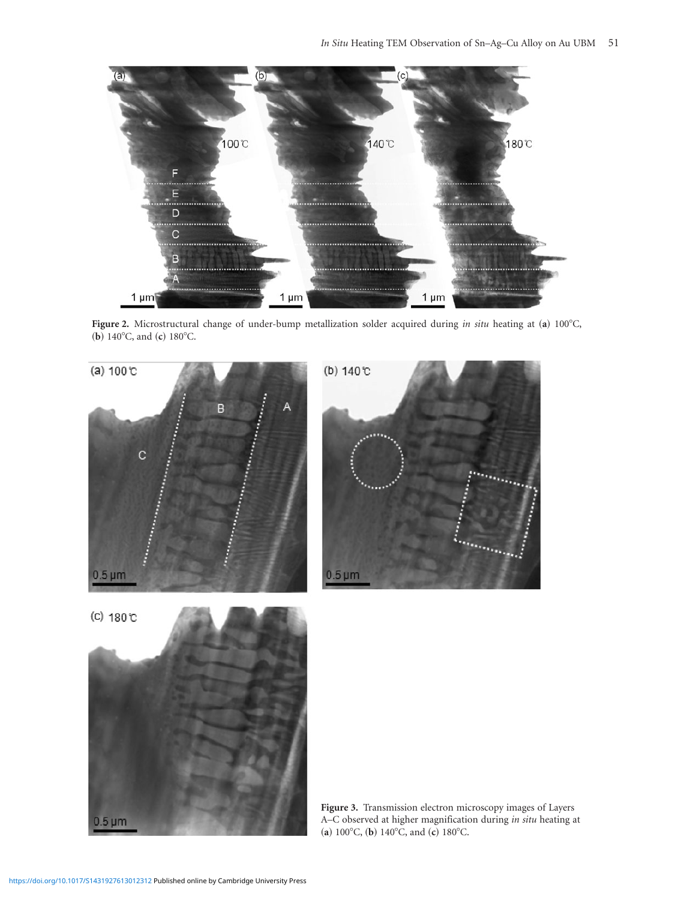

Figure 2. Microstructural change of under-bump metallization solder acquired during *in situ* heating at (a) 100°C, (**b**) 140°C, and (**c**) 180°C.

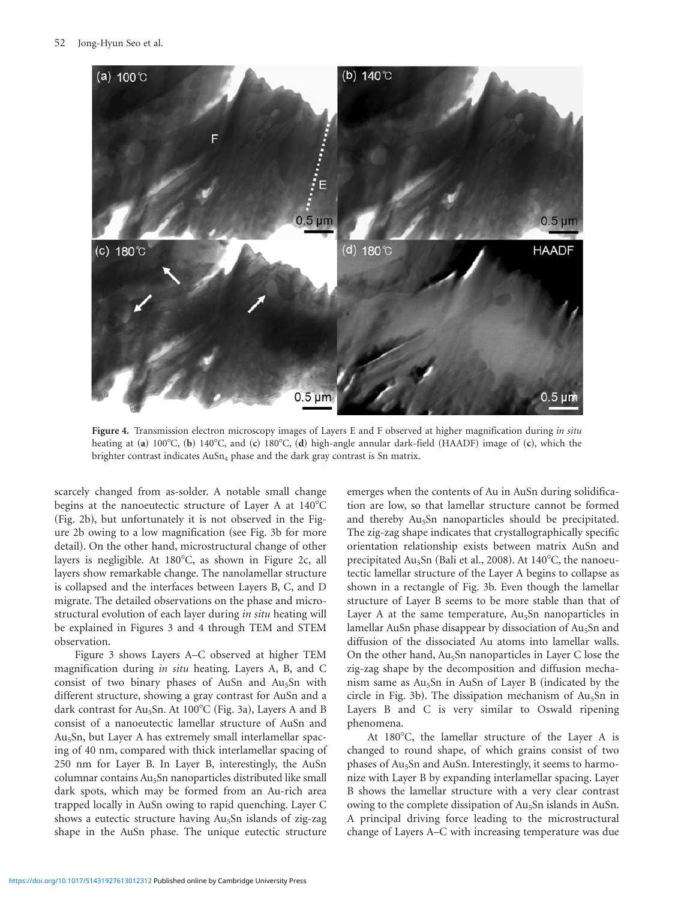

**Figure 4.** Transmission electron microscopy images of Layers E and F observed at higher magnification during *in situ* heating at (a) 100°C, (b) 140°C, and (c) 180°C, (d) high-angle annular dark-field (HAADF) image of (c), which the brighter contrast indicates  $AuSn<sub>4</sub>$  phase and the dark gray contrast is Sn matrix.

scarcely changed from as-solder. A notable small change begins at the nanoeutectic structure of Layer A at  $140^{\circ}$ C (Fig. 2b), but unfortunately it is not observed in the Figure 2b owing to a low magnification (see Fig. 3b for more detail). On the other hand, microstructural change of other layers is negligible. At 180°C, as shown in Figure 2c, all layers show remarkable change. The nanolamellar structure is collapsed and the interfaces between Layers B, C, and D migrate. The detailed observations on the phase and microstructural evolution of each layer during *in situ* heating will be explained in Figures 3 and 4 through TEM and STEM observation.

Figure 3 shows Layers A–C observed at higher TEM magnification during *in situ* heating. Layers A, B, and C consist of two binary phases of AuSn and Au5Sn with different structure, showing a gray contrast for AuSn and a dark contrast for Au<sub>5</sub>Sn. At 100 $^{\circ}$ C (Fig. 3a), Layers A and B consist of a nanoeutectic lamellar structure of AuSn and Au<sub>5</sub>Sn, but Layer A has extremely small interlamellar spacing of 40 nm, compared with thick interlamellar spacing of 250 nm for Layer B. In Layer B, interestingly, the AuSn columnar contains Au<sub>5</sub>Sn nanoparticles distributed like small dark spots, which may be formed from an Au-rich area trapped locally in AuSn owing to rapid quenching. Layer C shows a eutectic structure having Au<sub>5</sub>Sn islands of zig-zag shape in the AuSn phase. The unique eutectic structure

emerges when the contents of Au in AuSn during solidification are low, so that lamellar structure cannot be formed and thereby Au5Sn nanoparticles should be precipitated. The zig-zag shape indicates that crystallographically specific orientation relationship exists between matrix AuSn and precipitated  $Au<sub>5</sub>Sn$  (Bali et al., 2008). At 140°C, the nanoeutectic lamellar structure of the Layer A begins to collapse as shown in a rectangle of Fig. 3b. Even though the lamellar structure of Layer B seems to be more stable than that of Layer A at the same temperature,  $Au<sub>5</sub>Sn$  nanoparticles in lamellar AuSn phase disappear by dissociation of Au<sub>5</sub>Sn and diffusion of the dissociated Au atoms into lamellar walls. On the other hand, Au<sub>5</sub>Sn nanoparticles in Layer C lose the zig-zag shape by the decomposition and diffusion mechanism same as  $Au<sub>5</sub>Sn$  in AuSn of Layer B (indicated by the circle in Fig. 3b). The dissipation mechanism of  $Au<sub>5</sub>Sn$  in Layers B and C is very similar to Oswald ripening phenomena.

At 180°C, the lamellar structure of the Layer A is changed to round shape, of which grains consist of two phases of Au5Sn and AuSn. Interestingly, it seems to harmonize with Layer B by expanding interlamellar spacing. Layer B shows the lamellar structure with a very clear contrast owing to the complete dissipation of Au<sub>5</sub>Sn islands in AuSn. A principal driving force leading to the microstructural change of Layers A–C with increasing temperature was due